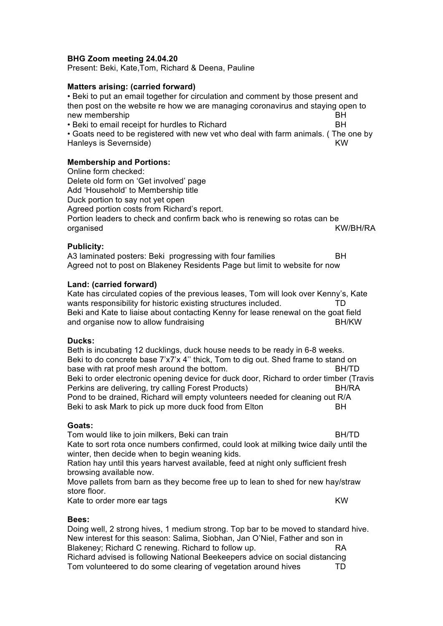## **BHG Zoom meeting 24.04.20**

Present: Beki, Kate,Tom, Richard & Deena, Pauline

### **Matters arising: (carried forward)**

• Beki to put an email together for circulation and comment by those present and then post on the website re how we are managing coronavirus and staying open to new membership and the state of the state of the state of the state of the state of the state of the state of the state of the state of the state of the state of the state of the state of the state of the state of the stat • Beki to email receipt for hurdles to Richard **BH** 

• Goats need to be registered with new vet who deal with farm animals. ( The one by Hanleys is Severnside) and the set of the set of the set of the set of the set of the set of the set of the set of the set of the set of the set of the set of the set of the set of the set of the set of the set of the set

## **Membership and Portions:**

Online form checked: Delete old form on 'Get involved' page Add 'Household' to Membership title Duck portion to say not yet open Agreed portion costs from Richard's report. Portion leaders to check and confirm back who is renewing so rotas can be organised KW/BH/RA

## **Publicity:**

A3 laminated posters: Beki progressing with four families BH Agreed not to post on Blakeney Residents Page but limit to website for now

#### **Land: (carried forward)**

Kate has circulated copies of the previous leases, Tom will look over Kenny's, Kate wants responsibility for historic existing structures included. TD Beki and Kate to liaise about contacting Kenny for lease renewal on the goat field and organise now to allow fundraising and state and postulate BH/KW

### **Ducks:**

Beth is incubating 12 ducklings, duck house needs to be ready in 6-8 weeks. Beki to do concrete base 7'x7'x 4'' thick, Tom to dig out. Shed frame to stand on base with rat proof mesh around the bottom. BH/TD Beki to order electronic opening device for duck door, Richard to order timber (Travis Perkins are delivering, try calling Forest Products) BH/RA Pond to be drained, Richard will empty volunteers needed for cleaning out R/A Beki to ask Mark to pick up more duck food from Elton BH

#### **Goats:**

Tom would like to join milkers, Beki can train BH/TD Kate to sort rota once numbers confirmed, could look at milking twice daily until the winter, then decide when to begin weaning kids.

Ration hay until this years harvest available, feed at night only sufficient fresh browsing available now.

Move pallets from barn as they become free up to lean to shed for new hay/straw store floor.

Kate to order more ear tags KW

#### **Bees:**

Doing well, 2 strong hives, 1 medium strong. Top bar to be moved to standard hive. New interest for this season: Salima, Siobhan, Jan O'Niel, Father and son in Blakeney; Richard C renewing. Richard to follow up. RA Richard advised is following National Beekeepers advice on social distancing Tom volunteered to do some clearing of vegetation around hives TD